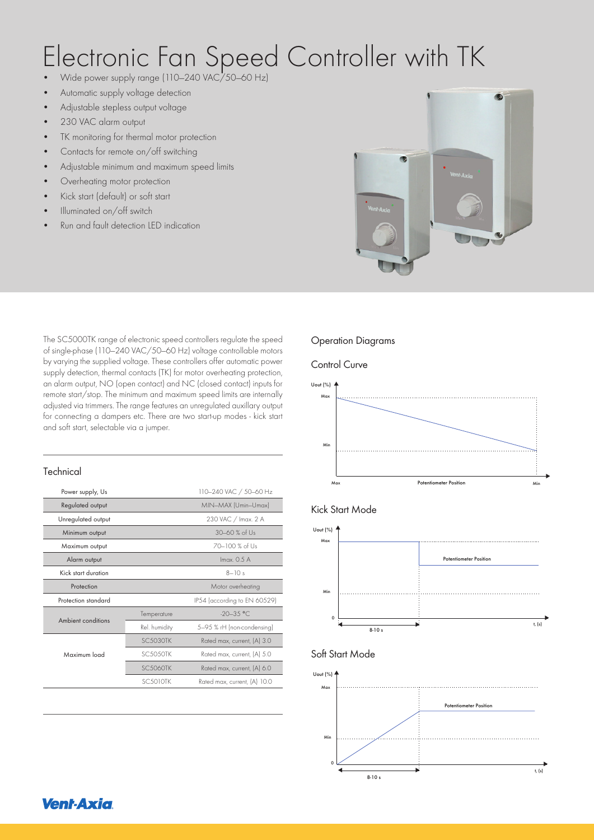# Electronic Fan Speed Controller with TK

- Wide power supply range (110—240 VAC/50—60 Hz)
- Automatic supply voltage detection
- Adjustable stepless output voltage
- 230 VAC alarm output
- TK monitoring for thermal motor protection
- Contacts for remote on/off switching
- Adjustable minimum and maximum speed limits
- Overheating motor protection
- Kick start (default) or soft start
- Illuminated on/off switch
- Run and fault detection LED indication



The SC5000TK range of electronic speed controllers regulate the speed of single-phase (110—240 VAC/50—60 Hz) voltage controllable motors by varying the supplied voltage. These controllers offer automatic power supply detection, thermal contacts (TK) for motor overheating protection, an alarm output, NO (open contact) and NC (closed contact) inputs for remote start/stop. The minimum and maximum speed limits are internally adjusted via trimmers. The range features an unregulated auxillary output for connecting a dampers etc. There are two start-up modes - kick start and soft start, selectable via a jumper.

#### **Technical**

| Power supply, Us    | 110-240 VAC / 50-60 Hz |                              |  |  |
|---------------------|------------------------|------------------------------|--|--|
| Regulated output    | MIN-MAX (Umin-Umax)    |                              |  |  |
| Unregulated output  | 230 VAC / Imax. 2 A    |                              |  |  |
| Minimum output      | $30 - 60$ % of Us      |                              |  |  |
| Maximum output      |                        | 70-100 % of Us               |  |  |
| Alarm output        |                        | $lmax$ 0.5 A                 |  |  |
| Kick start duration | $8 - 10s$              |                              |  |  |
| Protection          |                        | Motor overheating            |  |  |
| Protection standard |                        | IP54 (according to EN 60529) |  |  |
|                     | Temperature            | $-20-35$ °C.                 |  |  |
| Ambient conditions  | Rel. humidity          | 5-95 % rH (non-condensing)   |  |  |
| Maximum load        | <b>SC.5030TK</b>       | Rated max, current, (A) 3.0  |  |  |
|                     | <b>SC.50.50TK</b>      | Rated max, current, (A) 5.0  |  |  |
|                     | <b>SC.5060TK</b>       | Rated max, current, (A) 6.0  |  |  |
|                     | <b>SC5010TK</b>        | Rated max, current, (A) 10.0 |  |  |
|                     |                        |                              |  |  |

### Operation Diagrams

#### Control Curve